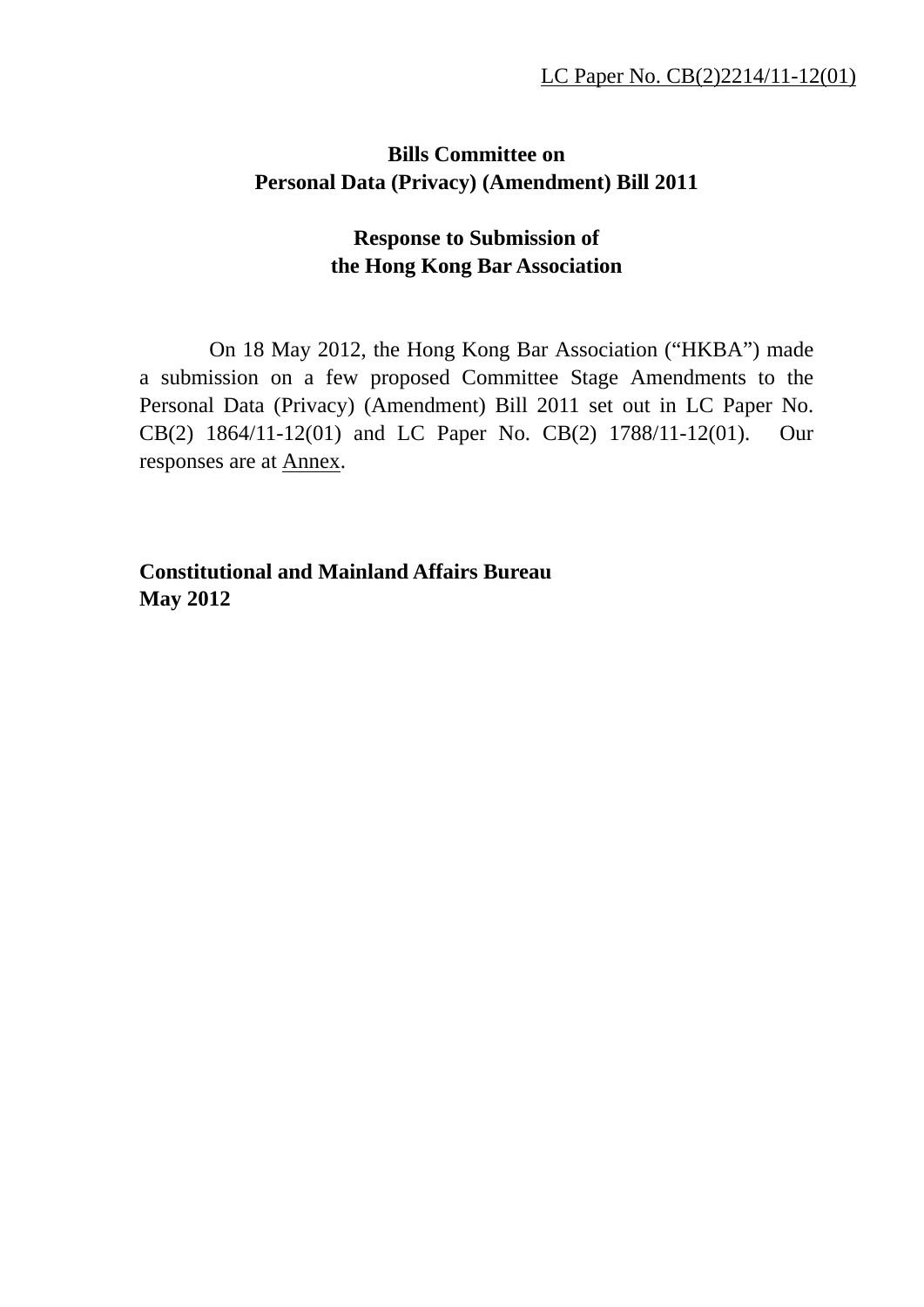## **Bills Committee on Personal Data (Privacy) (Amendment) Bill 2011**

## **Response to Submission of the Hong Kong Bar Association**

On 18 May 2012, the Hong Kong Bar Association ("HKBA") made a submission on a few proposed Committee Stage Amendments to the Personal Data (Privacy) (Amendment) Bill 2011 set out in LC Paper No. CB(2) 1864/11-12(01) and LC Paper No. CB(2) 1788/11-12(01). Our responses are at Annex.

**Constitutional and Mainland Affairs Bureau May 2012**